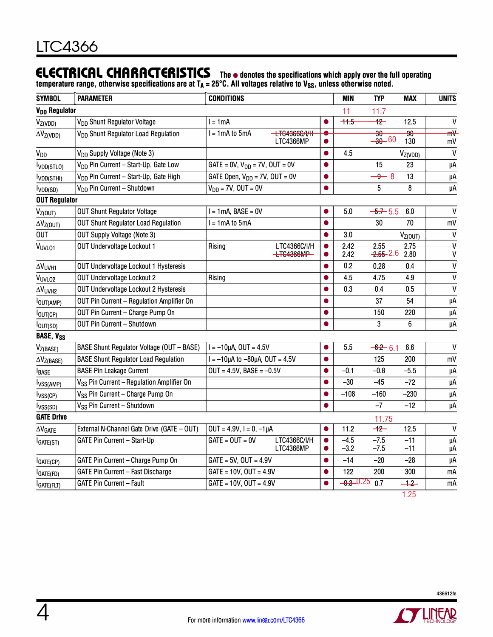## **ELECTRICAL CHARACTERISTICS The• denotes the specifications which apply over the full operating**

temperature range, otherwise specifications are at T<sub>A</sub> = 25°C. All voltages relative to V<sub>SS</sub>, unless otherwise noted.

| <b>SYMBOL</b>             | <b>PARAMETER</b>                                      | <b>CONDITIONS</b>                                       |           | <b>MIN</b>       | <b>TYP</b>                    | <b>MAX</b>             | <b>UNITS</b>                 |
|---------------------------|-------------------------------------------------------|---------------------------------------------------------|-----------|------------------|-------------------------------|------------------------|------------------------------|
| V <sub>DD</sub> Regulator |                                                       |                                                         |           | 11               | 11.7                          |                        |                              |
| $V_{Z(VDD)}$              | V <sub>DD</sub> Shunt Regulator Voltage               | $l = 1mA$                                               |           | $+5$             | $+2$                          | 12.5                   | $\mathsf{V}$                 |
| $\Delta V_{Z(VDD)}$       | V <sub>DD</sub> Shunt Regulator Load Regulation       | -LTG4366G/I/H<br>$I = 1mA$ to $5mA$<br><b>LTG4366MP</b> | $\bullet$ |                  | $\overline{30}$<br>$-30 - 60$ | $\overline{90}$<br>130 | ₩<br>mV                      |
| <b>V<sub>DD</sub></b>     | V <sub>DD</sub> Supply Voltage (Note 3)               |                                                         | $\bullet$ | 4.5              |                               | $V_{Z(VDD)}$           | $\mathsf{V}$                 |
| VDD(STLO)                 | V <sub>DD</sub> Pin Current - Start-Up, Gate Low      | $GATE = 0V$ , $V_{DD} = 7V$ , $OUT = 0V$                | ●         |                  | 15                            | 23                     | μA                           |
| VDD(STHI)                 | V <sub>DD</sub> Pin Current - Start-Up, Gate High     | GATE Open, $V_{DD} = 7V$ , OUT = 0V                     | $\bullet$ |                  | $-9 - 8$                      | 13                     | μA                           |
| I <sub>VDD(SD)</sub>      | V <sub>DD</sub> Pin Current - Shutdown                | $V_{DD} = 7V$ , OUT = 0V                                | $\bullet$ |                  | 5                             | 8                      | μA                           |
| <b>OUT Regulator</b>      |                                                       |                                                         |           |                  |                               |                        |                              |
| V <sub>Z(OUT)</sub>       | <b>OUT Shunt Regulator Voltage</b>                    | $I = 1mA$ , BASE = 0V                                   |           | 5.0              | $-5 + 5.5$                    | 6.0                    | $\mathsf{V}$                 |
| $\Delta V_{Z(OUT)}$       | <b>OUT Shunt Regulator Load Regulation</b>            | $I = 1mA$ to $5mA$                                      | $\bullet$ |                  | 30                            | 70                     | mV                           |
| <b>OUT</b>                | <b>OUT Supply Voltage (Note 3)</b>                    |                                                         | $\bullet$ | 3.0              |                               | V <sub>Z(OUT)</sub>    | $\overline{V}$               |
| <b>VUVLO1</b>             | OUT Undervoltage Lockout 1                            | <b>LTC4366C/I/II</b><br>Rising<br>+TC4366MP             | $\bullet$ | 2.42<br>2.42     | 2.55<br><del>2.55</del> 2.6   | 275<br>2.80            | $\overline{\mathbf{v}}$<br>V |
| <b>AVUVH1</b>             | <b>OUT Undervoltage Lockout 1 Hysteresis</b>          |                                                         | ●         | 0.2              | 0.28                          | 0.4                    | $\mathsf{V}$                 |
| VUVL02                    | <b>OUT Undervoltage Lockout 2</b>                     | Rising                                                  | Ō         | 4.5              | 4.75                          | 4.9                    | $\mathsf{V}$                 |
| $\Delta V_{UVH2}$         | <b>OUT Undervoltage Lockout 2 Hysteresis</b>          |                                                         | Ō         | 0.3              | 0.4                           | 0.5                    | $\mathsf{V}$                 |
| <b>OUT(AMP)</b>           | OUT Pin Current - Regulation Amplifier On             |                                                         | $\bullet$ |                  | 37                            | 54                     | μA                           |
| OUT(CP)                   | OUT Pin Current - Charge Pump On                      |                                                         | ●         |                  | 150                           | 220                    | μÄ                           |
| lout(SD)                  | OUT Pin Current - Shutdown                            |                                                         |           |                  | 3                             | 6                      | μA                           |
| <b>BASE, VSS</b>          |                                                       |                                                         |           |                  |                               |                        |                              |
| V <sub>Z(BASE)</sub>      | BASE Shunt Regulator Voltage (OUT - BASE)             | $I = -10\mu A$ , OUT = 4.5V                             | O         | 5.5              | $-6.2 - 6.1$                  | 6.6                    | $\mathsf{V}$                 |
| $\Delta V_{Z(BASE)}$      | <b>BASE Shunt Regulator Load Regulation</b>           | $I = -10\mu A$ to $-80\mu A$ , OUT = 4.5V               | $\bullet$ |                  | 125                           | 200                    | mV                           |
| <b>I</b> BASE             | <b>BASE Pin Leakage Current</b>                       | $OUT = 4.5V$ , BASE = $-0.5V$                           | $\bullet$ | $-0.1$           | $-0.8$                        | $-5.5$                 | μA                           |
| l <sub>VSS(AMP)</sub>     | V <sub>SS</sub> Pin Current - Regulation Amplifier On |                                                         | O         | $-30$            | $-45$                         | $-72$                  | μA                           |
| l <sub>VSS(CP)</sub>      | V <sub>SS</sub> Pin Current - Charge Pump On          |                                                         | Ô         | $-108$           | $-160$                        | $-230$                 | μA                           |
| lvss <sub>(SD)</sub>      | V <sub>SS</sub> Pin Current - Shutdown                |                                                         |           |                  | $-7$                          | $-12$                  | μA                           |
| <b>GATE Drive</b>         |                                                       |                                                         |           |                  | 11.75                         |                        |                              |
| $\Delta V_{\text{GATE}}$  | External N-Channel Gate Drive (GATE - OUT)            | $OUT = 4.9V, I = 0, -1 \mu A$                           | $\bullet$ | 11.2             | $+2$                          | 12.5                   | $\mathsf{V}$                 |
| IGATE(ST)                 | GATE Pin Current - Start-Up                           | $GATE = OUT = OV$<br>LTC4366C/I/H<br>LTC4366MP          |           | $-4.5$<br>$-3.2$ | $-7.5$<br>$-7.5$              | $-11$<br>$-11$         | μA<br>μA                     |
| GATE(CP)                  | GATE Pin Current - Charge Pump On                     | $GATE = 5V$ , $OUT = 4.9V$                              | $\bullet$ | $-14$            | $-20$                         | $-28$                  | μA                           |
| GATE(FD)                  | <b>GATE Pin Current - Fast Discharge</b>              | $GATE = 10V, OUT = 4.9V$                                | ●         | 122              | 200                           | 300                    | mA                           |
| GATE(FLT)                 | <b>GATE Pin Current - Fault</b>                       | $GATE = 10V, 0UT = 4.9V$                                |           | <u>0.3 0.25</u>  | 0.7                           | $+2$                   | mA                           |
|                           |                                                       |                                                         |           |                  |                               | 1.25                   |                              |

**SO LINEAR**